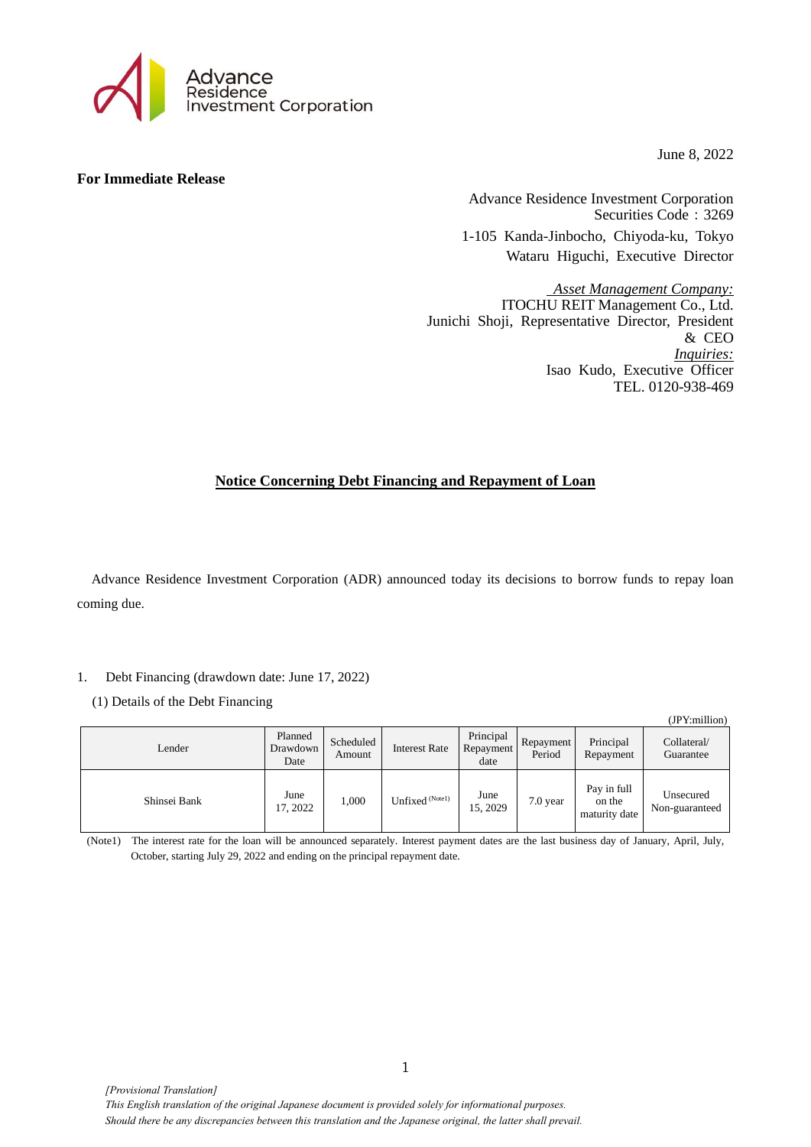

June 8, 2022

## **For Immediate Release**

Advance Residence Investment Corporation Securities Code: 3269 1-105 Kanda-Jinbocho, Chiyoda-ku, Tokyo Wataru Higuchi, Executive Director

*Asset Management Company:* ITOCHU REIT Management Co., Ltd. Junichi Shoji, Representative Director, President & CEO *Inquiries:* Isao Kudo, Executive Officer TEL. 0120-938-469

# **Notice Concerning Debt Financing and Repayment of Loan**

Advance Residence Investment Corporation (ADR) announced today its decisions to borrow funds to repay loan coming due.

# 1. Debt Financing (drawdown date: June 17, 2022)

(1) Details of the Debt Financing

|              |                             |                     |                      |                                |                     |                                        | (JPY:million)               |
|--------------|-----------------------------|---------------------|----------------------|--------------------------------|---------------------|----------------------------------------|-----------------------------|
| Lender       | Planned<br>Drawdown<br>Date | Scheduled<br>Amount | <b>Interest Rate</b> | Principal<br>Repayment<br>date | Repayment<br>Period | Principal<br>Repayment                 | Collateral/<br>Guarantee    |
| Shinsei Bank | June<br>17, 2022            | 1,000               | Unfixed (Notel)      | June<br>15, 2029               | $7.0$ year          | Pay in full<br>on the<br>maturity date | Unsecured<br>Non-guaranteed |

(Note1) The interest rate for the loan will be announced separately. Interest payment dates are the last business day of January, April, July, October, starting July 29, 2022 and ending on the principal repayment date.